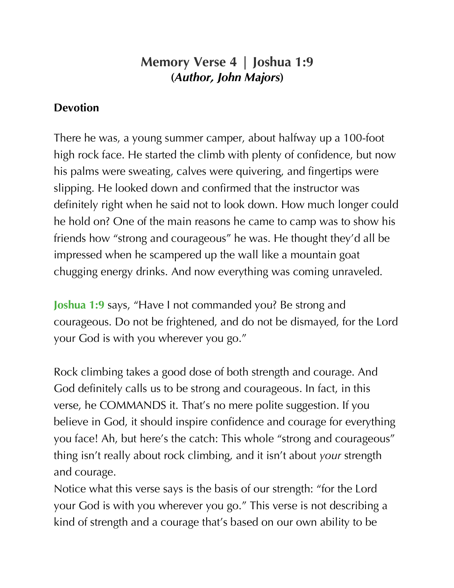## **Memory Verse 4 | Joshua 1:9 (***Author, John Majors***)**

## **Devotion**

There he was, a young summer camper, about halfway up a 100-foot high rock face. He started the climb with plenty of confidence, but now his palms were sweating, calves were quivering, and fingertips were slipping. He looked down and confirmed that the instructor was definitely right when he said not to look down. How much longer could he hold on? One of the main reasons he came to camp was to show his friends how "strong and courageous" he was. He thought they'd all be impressed when he scampered up the wall like a mountain goat chugging energy drinks. And now everything was coming unraveled.

**Joshua 1:9** says, "Have I not commanded you? Be strong and courageous. Do not be frightened, and do not be dismayed, for the Lord your God is with you wherever you go."

Rock climbing takes a good dose of both strength and courage. And God definitely calls us to be strong and courageous. In fact, in this verse, he COMMANDS it. That's no mere polite suggestion. If you believe in God, it should inspire confidence and courage for everything you face! Ah, but here's the catch: This whole "strong and courageous" thing isn't really about rock climbing, and it isn't about *your* strength and courage.

Notice what this verse says is the basis of our strength: "for the Lord your God is with you wherever you go." This verse is not describing a kind of strength and a courage that's based on our own ability to be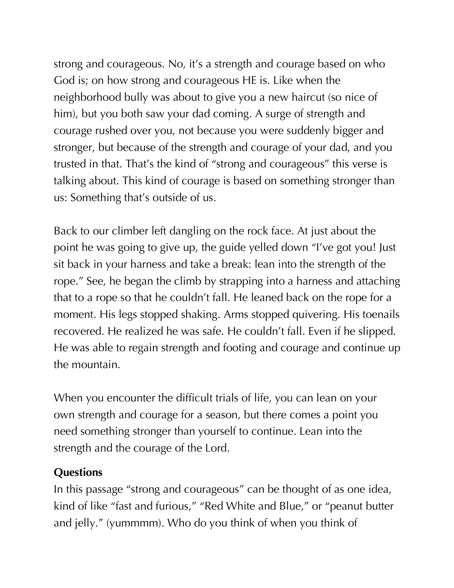strong and courageous. No, it's a strength and courage based on who God is; on how strong and courageous HE is. Like when the neighborhood bully was about to give you a new haircut (so nice of him), but you both saw your dad coming. A surge of strength and courage rushed over you, not because you were suddenly bigger and stronger, but because of the strength and courage of your dad, and you trusted in that. That's the kind of "strong and courageous" this verse is talking about. This kind of courage is based on something stronger than us: Something that's outside of us.

Back to our climber left dangling on the rock face. At just about the point he was going to give up, the guide yelled down "I've got you! Just sit back in your harness and take a break: lean into the strength of the rope." See, he began the climb by strapping into a harness and attaching that to a rope so that he couldn't fall. He leaned back on the rope for a moment. His legs stopped shaking. Arms stopped quivering. His toenails recovered. He realized he was safe. He couldn't fall. Even if he slipped. He was able to regain strength and footing and courage and continue up the mountain.

When you encounter the difficult trials of life, you can lean on your own strength and courage for a season, but there comes a point you need something stronger than yourself to continue. Lean into the strength and the courage of the Lord.

## **Questions**

In this passage "strong and courageous" can be thought of as one idea, kind of like "fast and furious," "Red White and Blue," or "peanut butter and jelly." (yummmm). Who do you think of when you think of